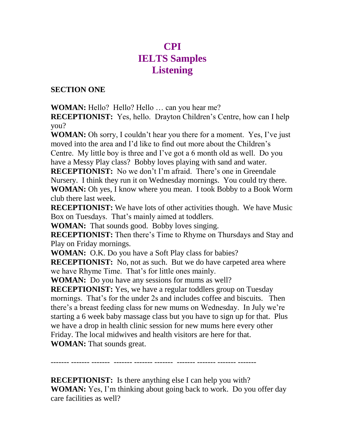# **CPI IELTS Samples Listening**

#### **SECTION ONE**

**WOMAN:** Hello? Hello? Hello … can you hear me?

**RECEPTIONIST:** Yes, hello. Drayton Children's Centre, how can I help you?

**WOMAN:** Oh sorry, I couldn't hear you there for a moment. Yes, I've just moved into the area and I'd like to find out more about the Children's

Centre. My little boy is three and I've got a 6 month old as well. Do you have a Messy Play class? Bobby loves playing with sand and water.

**RECEPTIONIST:** No we don't I'm afraid. There's one in Greendale Nursery. I think they run it on Wednesday mornings. You could try there. **WOMAN:** Oh yes, I know where you mean. I took Bobby to a Book Worm club there last week.

**RECEPTIONIST:** We have lots of other activities though. We have Music Box on Tuesdays. That's mainly aimed at toddlers.

**WOMAN:** That sounds good. Bobby loves singing.

**RECEPTIONIST:** Then there's Time to Rhyme on Thursdays and Stay and Play on Friday mornings.

**WOMAN:** O.K. Do you have a Soft Play class for babies?

**RECEPTIONIST:** No, not as such. But we do have carpeted area where we have Rhyme Time. That's for little ones mainly.

**WOMAN:** Do you have any sessions for mums as well?

**RECEPTIONIST:** Yes, we have a regular toddlers group on Tuesday mornings. That's for the under 2s and includes coffee and biscuits. Then there's a breast feeding class for new mums on Wednesday. In July we're starting a 6 week baby massage class but you have to sign up for that. Plus we have a drop in health clinic session for new mums here every other Friday. The local midwives and health visitors are here for that. **WOMAN:** That sounds great.

------- ------- ------- ------- ------- ------- ------- ------- ------- -------

**RECEPTIONIST:** Is there anything else I can help you with? **WOMAN:** Yes, I'm thinking about going back to work. Do you offer day care facilities as well?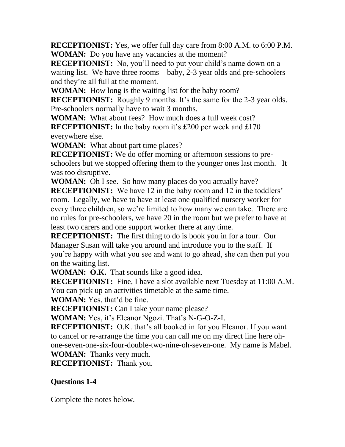**RECEPTIONIST:** Yes, we offer full day care from 8:00 A.M. to 6:00 P.M. **WOMAN:** Do you have any vacancies at the moment?

**RECEPTIONIST:** No, you'll need to put your child's name down on a waiting list. We have three rooms – baby, 2-3 year olds and pre-schoolers – and they're all full at the moment.

**WOMAN:** How long is the waiting list for the baby room?

**RECEPTIONIST:** Roughly 9 months. It's the same for the 2-3 year olds. Pre-schoolers normally have to wait 3 months.

**WOMAN:** What about fees? How much does a full week cost?

**RECEPTIONIST:** In the baby room it's £200 per week and £170 everywhere else.

**WOMAN:** What about part time places?

**RECEPTIONIST:** We do offer morning or afternoon sessions to preschoolers but we stopped offering them to the younger ones last month. It was too disruptive.

**WOMAN:** Oh I see. So how many places do you actually have?

**RECEPTIONIST:** We have 12 in the baby room and 12 in the toddlers' room. Legally, we have to have at least one qualified nursery worker for every three children, so we're limited to how many we can take. There are no rules for pre-schoolers, we have 20 in the room but we prefer to have at least two carers and one support worker there at any time.

**RECEPTIONIST:** The first thing to do is book you in for a tour. Our Manager Susan will take you around and introduce you to the staff. If you're happy with what you see and want to go ahead, she can then put you on the waiting list.

**WOMAN: O.K.** That sounds like a good idea.

**RECEPTIONIST:** Fine, I have a slot available next Tuesday at 11:00 A.M. You can pick up an activities timetable at the same time.

**WOMAN:** Yes, that'd be fine.

**RECEPTIONIST:** Can I take your name please?

**WOMAN:** Yes, it's Eleanor Ngozi. That's N-G-O-Z-I.

**RECEPTIONIST:** O.K. that's all booked in for you Eleanor. If you want to cancel or re-arrange the time you can call me on my direct line here ohone-seven-one-six-four-double-two-nine-oh-seven-one. My name is Mabel.

**WOMAN:** Thanks very much.

**RECEPTIONIST:** Thank you.

### **Questions 1-4**

Complete the notes below.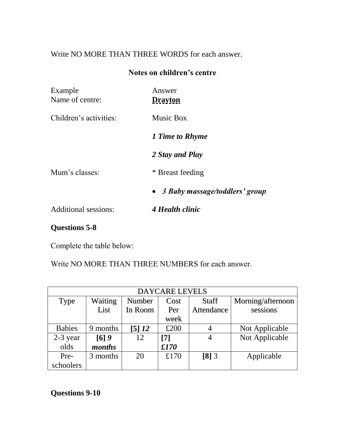## Write NO MORE THAN THREE WORDS for each answer.

#### **Notes on children's centre**

| Example<br>Name of centre: | Answer<br><b>Drayton</b>         |  |  |
|----------------------------|----------------------------------|--|--|
| Children's activities:     | <b>Music Box</b>                 |  |  |
|                            | 1 Time to Rhyme                  |  |  |
|                            | 2 Stay and Play                  |  |  |
| Mum's classes:             | * Breast feeding                 |  |  |
|                            | • 3 Baby massage/toddlers' group |  |  |
| Additional sessions:       | 4 Health clinic                  |  |  |
|                            |                                  |  |  |

### **Questions 5-8**

Complete the table below:

Write NO MORE THAN THREE NUMBERS for each answer.

| <b>DAYCARE LEVELS</b> |                |         |       |              |                   |  |  |
|-----------------------|----------------|---------|-------|--------------|-------------------|--|--|
| <b>Type</b>           | <b>Waiting</b> | Number  | Cost  | <b>Staff</b> | Morning/afternoon |  |  |
|                       | List           | In Room | Per   | Attendance   | sessions          |  |  |
|                       |                |         | week  |              |                   |  |  |
| <b>Babies</b>         | 9 months       | [5]12   | £200  | 4            | Not Applicable    |  |  |
| $2-3$ year            | $[6]$ 9        | 12      | $[7]$ | 4            | Not Applicable    |  |  |
| olds                  | months         |         | £170  |              |                   |  |  |
| Pre-                  | 3 months       | 20      | £170  | $[8]$ 3      | Applicable        |  |  |
| schoolers             |                |         |       |              |                   |  |  |

**Questions 9-10**